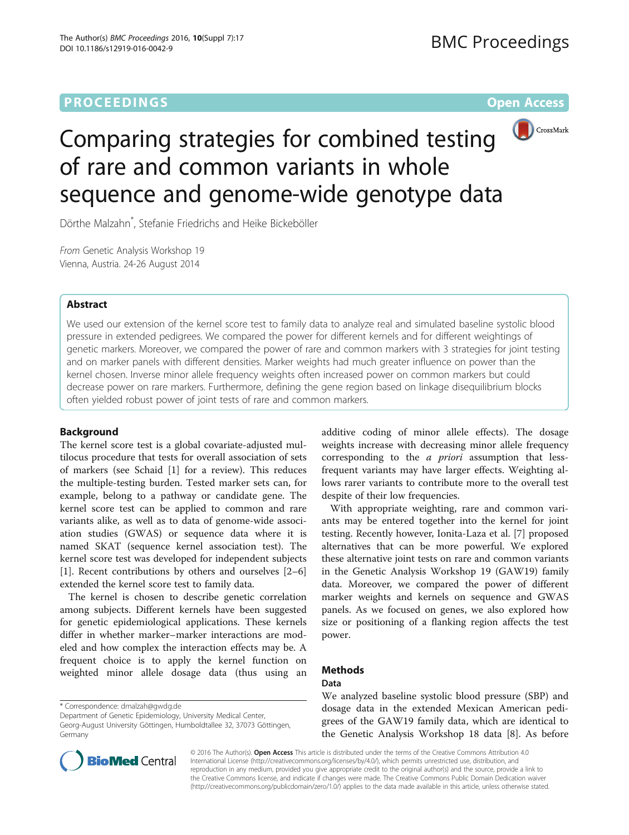# **PROCEEDINGS CONSUMING S** Open Access **CONSUMER SECTION AND SECTION AND SECTION AND SECTION AND SECTION AND SECTION AND SECTION AND SECTION AND SECTION AND SECTION AND SECTION AND SECTION AND SECTION AND SECTION AND SECT**



# Comparing strategies for combined testing of rare and common variants in whole sequence and genome-wide genotype data

Dörthe Malzahn\* , Stefanie Friedrichs and Heike Bickeböller

From Genetic Analysis Workshop 19 Vienna, Austria. 24-26 August 2014

# Abstract

We used our extension of the kernel score test to family data to analyze real and simulated baseline systolic blood pressure in extended pedigrees. We compared the power for different kernels and for different weightings of genetic markers. Moreover, we compared the power of rare and common markers with 3 strategies for joint testing and on marker panels with different densities. Marker weights had much greater influence on power than the kernel chosen. Inverse minor allele frequency weights often increased power on common markers but could decrease power on rare markers. Furthermore, defining the gene region based on linkage disequilibrium blocks often yielded robust power of joint tests of rare and common markers.

# Background

The kernel score test is a global covariate-adjusted multilocus procedure that tests for overall association of sets of markers (see Schaid [\[1](#page-4-0)] for a review). This reduces the multiple-testing burden. Tested marker sets can, for example, belong to a pathway or candidate gene. The kernel score test can be applied to common and rare variants alike, as well as to data of genome-wide association studies (GWAS) or sequence data where it is named SKAT (sequence kernel association test). The kernel score test was developed for independent subjects [[1\]](#page-4-0). Recent contributions by others and ourselves [[2](#page-4-0)–[6](#page-4-0)] extended the kernel score test to family data.

The kernel is chosen to describe genetic correlation among subjects. Different kernels have been suggested for genetic epidemiological applications. These kernels differ in whether marker–marker interactions are modeled and how complex the interaction effects may be. A frequent choice is to apply the kernel function on weighted minor allele dosage data (thus using an

\* Correspondence: [dmalzah@gwdg.de](mailto:dmalzah@gwdg.de)

additive coding of minor allele effects). The dosage weights increase with decreasing minor allele frequency corresponding to the a priori assumption that lessfrequent variants may have larger effects. Weighting allows rarer variants to contribute more to the overall test despite of their low frequencies.

With appropriate weighting, rare and common variants may be entered together into the kernel for joint testing. Recently however, Ionita-Laza et al. [[7\]](#page-4-0) proposed alternatives that can be more powerful. We explored these alternative joint tests on rare and common variants in the Genetic Analysis Workshop 19 (GAW19) family data. Moreover, we compared the power of different marker weights and kernels on sequence and GWAS panels. As we focused on genes, we also explored how size or positioning of a flanking region affects the test power.

# Methods

# Data

We analyzed baseline systolic blood pressure (SBP) and dosage data in the extended Mexican American pedigrees of the GAW19 family data, which are identical to the Genetic Analysis Workshop 18 data [\[8\]](#page-4-0). As before



© 2016 The Author(s). Open Access This article is distributed under the terms of the Creative Commons Attribution 4.0 International License [\(http://creativecommons.org/licenses/by/4.0/](http://creativecommons.org/licenses/by/4.0/)), which permits unrestricted use, distribution, and reproduction in any medium, provided you give appropriate credit to the original author(s) and the source, provide a link to the Creative Commons license, and indicate if changes were made. The Creative Commons Public Domain Dedication waiver [\(http://creativecommons.org/publicdomain/zero/1.0/](http://creativecommons.org/publicdomain/zero/1.0/)) applies to the data made available in this article, unless otherwise stated.

Department of Genetic Epidemiology, University Medical Center, Georg-August University Göttingen, Humboldtallee 32, 37073 Göttingen, Germany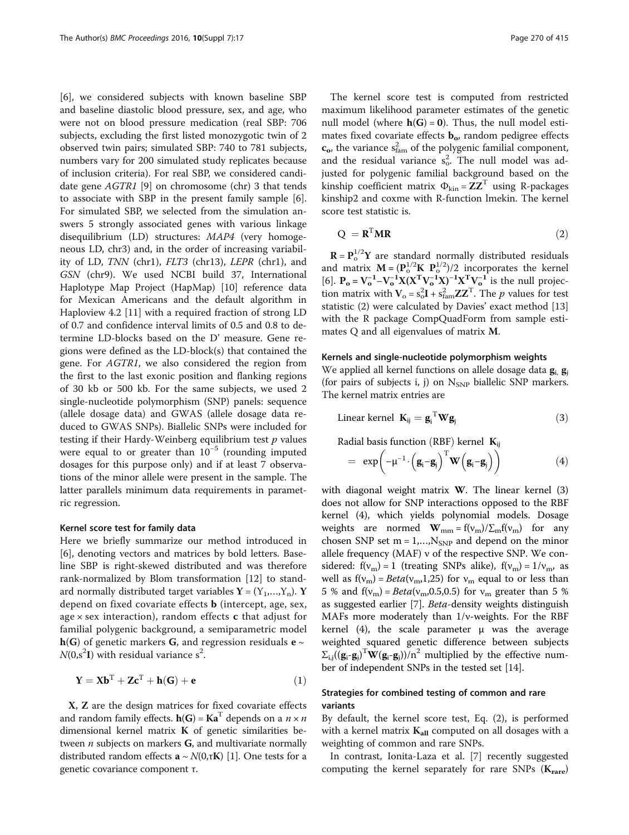<span id="page-1-0"></span>[[6\]](#page-4-0), we considered subjects with known baseline SBP and baseline diastolic blood pressure, sex, and age, who were not on blood pressure medication (real SBP: 706 subjects, excluding the first listed monozygotic twin of 2 observed twin pairs; simulated SBP: 740 to 781 subjects, numbers vary for 200 simulated study replicates because of inclusion criteria). For real SBP, we considered candidate gene AGTR1 [\[9](#page-4-0)] on chromosome (chr) 3 that tends to associate with SBP in the present family sample [\[6](#page-4-0)]. For simulated SBP, we selected from the simulation answers 5 strongly associated genes with various linkage disequilibrium (LD) structures: MAP4 (very homogeneous LD, chr3) and, in the order of increasing variability of LD, TNN (chr1), FLT3 (chr13), LEPR (chr1), and GSN (chr9). We used NCBI build 37, International Haplotype Map Project (HapMap) [\[10](#page-4-0)] reference data for Mexican Americans and the default algorithm in Haploview 4.2 [\[11\]](#page-4-0) with a required fraction of strong LD of 0.7 and confidence interval limits of 0.5 and 0.8 to determine LD-blocks based on the D' measure. Gene regions were defined as the LD-block(s) that contained the gene. For AGTR1, we also considered the region from the first to the last exonic position and flanking regions of 30 kb or 500 kb. For the same subjects, we used 2 single-nucleotide polymorphism (SNP) panels: sequence (allele dosage data) and GWAS (allele dosage data reduced to GWAS SNPs). Biallelic SNPs were included for testing if their Hardy-Weinberg equilibrium test  $p$  values were equal to or greater than  $10^{-5}$  (rounding imputed dosages for this purpose only) and if at least 7 observations of the minor allele were present in the sample. The latter parallels minimum data requirements in parametric regression.

#### Kernel score test for family data

Here we briefly summarize our method introduced in [[6\]](#page-4-0), denoting vectors and matrices by bold letters. Baseline SBP is right-skewed distributed and was therefore rank-normalized by Blom transformation [[12](#page-4-0)] to standard normally distributed target variables  $Y = (Y_1,...,Y_n)$ . Y depend on fixed covariate effects b (intercept, age, sex, age  $\times$  sex interaction), random effects **c** that adjust for familial polygenic background, a semiparametric model  $h(G)$  of genetic markers G, and regression residuals  $e \sim$  $N(0, s^2I)$  with residual variance  $s^2$ .

$$
\mathbf{Y} = \mathbf{X}\mathbf{b}^{\mathrm{T}} + \mathbf{Z}\mathbf{c}^{\mathrm{T}} + \mathbf{h}(\mathbf{G}) + \mathbf{e}
$$
 (1)

X, Z are the design matrices for fixed covariate effects and random family effects.  $h(G) = Ka^{T}$  depends on a  $n \times n$ dimensional kernel matrix K of genetic similarities between  $n$  subjects on markers  $G$ , and multivariate normally distributed random effects  $\mathbf{a} \sim N(0,\tau\mathbf{K})$  [[1\]](#page-4-0). One tests for a genetic covariance component τ.

The kernel score test is computed from restricted maximum likelihood parameter estimates of the genetic null model (where  $h(G) = 0$ ). Thus, the null model estimates fixed covariate effects  $\mathbf{b}_{\alpha}$ , random pedigree effects  $\mathbf{c}_{\mathbf{o}}$ , the variance  $s_{\text{fan}}^2$  of the polygenic familial component, and the residual variance  $s_o^2$ . The null model was adjusted for polygenic familial background based on the kinship coefficient matrix  $\Phi_{\text{kin}} = ZZ^T$  using R-packages kinship2 and coxme with R-function lmekin. The kernel score test statistic is.

$$
Q = \mathbf{R}^{\mathrm{T}} \mathbf{M} \mathbf{R} \tag{2}
$$

 $\mathbf{R} = \mathbf{P}_0^{1/2} \mathbf{Y}$  are standard normally distributed residuals<br>od matrix  $\mathbf{M} = (\mathbf{P}^{1/2} \mathbf{K} \ \mathbf{P}^{1/2})/2$  incorporates the kernel  $\mathbf{R} = \mathbf{P}^{1/2}_{0} \mathbf{Y}$  are standard normally distributed residuals and matrix  $\mathbf{M} = (\mathbf{P}_0^{1/2}\mathbf{K} \ \mathbf{P}_0^{1/2})/2$  incorporates the kernel<br>[6]  $\mathbf{P} = \mathbf{V}^{-1} - \mathbf{V}^{-1}\mathbf{Y}(\mathbf{Y}^T\mathbf{V}^{-1}\mathbf{Y})^{-1}\mathbf{Y}^T\mathbf{V}^{-1}$  is the null projec- $\frac{R}{T} \frac{P_0}{V^{-1}}$ [[6\]](#page-4-0).  $P_o = V_o^{-1} - V_o^{-1} X (X^T V_o^{-1} X)^{-1} X^T V_o^{-1}$  is the null projection matrix with  $V = c^2 I + c^2 Z^T$ . The *n* values for test [6].  $P_0 = V_0 - V_0$   $X(X, V_0, X)$   $X, V_0$  is the null projection matrix with  $V_0 = s_0^2 I + s_{\text{fan}}^2 Z Z^T$ . The *p* values for test estatistic (2) were calculated by Davies' exact method [13] statistic (2) were calculated by Davies' exact method [[13](#page-4-0)] with the R package CompQuadForm from sample estimates Q and all eigenvalues of matrix M.

## Kernels and single-nucleotide polymorphism weights

We applied all kernel functions on allele dosage data  $g_i$ ,  $g_j$ (for pairs of subjects i, j) on  $N_{SNP}$  biallelic SNP markers. The kernel matrix entries are

Linear kernel 
$$
\mathbf{K}_{ij} = \mathbf{g}_i^{\mathrm{T}} \mathbf{W} \mathbf{g}_j
$$
 (3)

Radial basis function (RBF) kernel  $K_{ii}$ 

$$
= \exp\left(-\mu^{-1}\cdot\left(\mathbf{g}_i-\mathbf{g}_j\right)^T\mathbf{W}\left(\mathbf{g}_i-\mathbf{g}_j\right)\right) \tag{4}
$$

with diagonal weight matrix W. The linear kernel (3) does not allow for SNP interactions opposed to the RBF kernel (4), which yields polynomial models. Dosage weights are normed  $\mathbf{W}_{mm} = f(v_m)/\sum_m f(v_m)$  for any chosen SNP set  $m = 1,...,N_{SNP}$  and depend on the minor allele frequency (MAF) ν of the respective SNP. We considered:  $f(v_m) = 1$  (treating SNPs alike),  $f(v_m) = 1/v_m$ , as well as  $f(v_m) = Beta(v_m, 1, 25)$  for  $v_m$  equal to or less than 5 % and  $f(v_m) = Beta(v_m, 0.5, 0.5)$  for  $v_m$  greater than 5 % as suggested earlier [[7\]](#page-4-0). Beta-density weights distinguish MAFs more moderately than 1/ν-weights. For the RBF kernel (4), the scale parameter  $\mu$  was the average weighted squared genetic difference between subjects  $\Sigma_{i,j}(\mathbf{g}_i - \mathbf{g}_j)^T \mathbf{W}(\mathbf{g}_i - \mathbf{g}_j)/n^2$  multiplied by the effective num-<br>her of independent SNPs in the tested set [14] ber of independent SNPs in the tested set [\[14](#page-4-0)].

# Strategies for combined testing of common and rare variants

By default, the kernel score test, Eq. (2), is performed with a kernel matrix  $K_{all}$  computed on all dosages with a weighting of common and rare SNPs.

In contrast, Ionita-Laza et al. [\[7](#page-4-0)] recently suggested computing the kernel separately for rare SNPs  $(K_{\text{rare}})$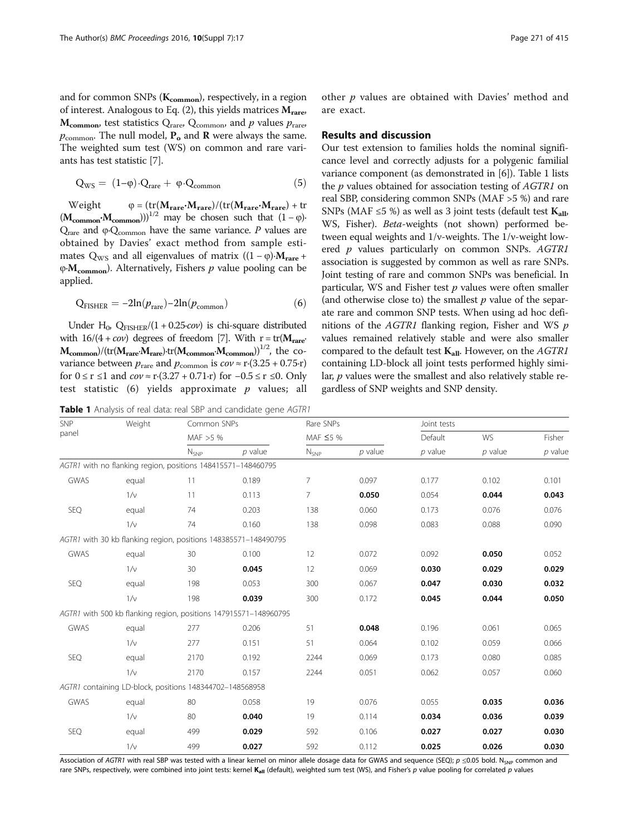<span id="page-2-0"></span>
$$
Q_{WS} = (1-\phi) \cdot Q_{rare} + \phi \cdot Q_{common} \tag{5}
$$

Weight  $\varphi = (\text{tr}(\mathbf{M}_{\text{rare}}\cdot\mathbf{M}_{\text{rare}})/(t\text{r}(\mathbf{M}_{\text{rare}}\cdot\mathbf{M}_{\text{rare}}) + t\text{r})$  $(M_{\text{common}} \cdot M_{\text{common}}))^{1/2}$  may be chosen such that  $(1 - \varphi)$ <sup>,</sup>  $Q<sub>rare</sub>$  and φ⋅ $Q<sub>common</sub>$  have the same variance. P values are obtained by Davies' exact method from sample estimates Q<sub>WS</sub> and all eigenvalues of matrix ((1 –  $\varphi$ )• $M_{\text{rare}}$  +  $\phi$ ∙M<sub>common</sub>). Alternatively, Fishers p value pooling can be applied.

$$
Q_{FISHER} = -2ln(p_{rare}) - 2ln(p_{common})
$$
 (6)

Under H<sub>0</sub>, Q<sub>FISHER</sub>/(1 + 0.25*⋅cov*) is chi-square distributed with  $16/(4 + cov)$  degrees of freedom [[7](#page-4-0)]. With r = tr( $M<sub>rare</sub>$ <sup>o</sup>  $M_{\text{common}}/(tr(M_{\text{rare}}\cdot M_{\text{rare}})\cdot tr(M_{\text{common}}\cdot M_{\text{common}}))^{1/2}$ , the covariance between  $p_{\text{rare}}$  and  $p_{\text{common}}$  is  $cov \approx r$ ⋅(3.25 + 0.75⋅r) for  $0 \le r \le 1$  and  $cov \approx r \cdot (3.27 + 0.71 \cdot r)$  for  $-0.5 \le r \le 0$ . Only test statistic  $(6)$  yields approximate p values; all

Table 1 Analysis of real data: real SBP and candidate gene AGTR1

SNP

other  $p$  values are obtained with Davies' method and are exact.

#### Results and discussion

Our test extension to families holds the nominal significance level and correctly adjusts for a polygenic familial variance component (as demonstrated in [[6\]](#page-4-0)). Table 1 lists the *p* values obtained for association testing of *AGTR1* on real SBP, considering common SNPs (MAF >5 %) and rare SNPs (MAF  $\leq$ 5 %) as well as 3 joint tests (default test  $K_{all}$ , WS, Fisher). Beta-weights (not shown) performed between equal weights and 1/ν-weights. The 1/ν-weight lowered *p* values particularly on common SNPs. AGTR1 association is suggested by common as well as rare SNPs. Joint testing of rare and common SNPs was beneficial. In particular, WS and Fisher test  $p$  values were often smaller (and otherwise close to) the smallest  $p$  value of the separate rare and common SNP tests. When using ad hoc definitions of the  $AGTR1$  flanking region, Fisher and WS  $p$ values remained relatively stable and were also smaller compared to the default test  $K_{all}$ . However, on the AGTR1 containing LD-block all joint tests performed highly similar, *p* values were the smallest and also relatively stable regardless of SNP weights and SNP density.

| panel |                                                              | MAF $>5%$ |                                                                  | MAF $\leq$ 5 % |           | Default   | <b>WS</b> | Fisher    |
|-------|--------------------------------------------------------------|-----------|------------------------------------------------------------------|----------------|-----------|-----------|-----------|-----------|
|       |                                                              | $N_{SNP}$ | $p$ value                                                        | $N_{SNP}$      | $p$ value | $p$ value | $p$ value | $p$ value |
|       | AGTR1 with no flanking region, positions 148415571-148460795 |           |                                                                  |                |           |           |           |           |
| GWAS  | equal                                                        | 11        | 0.189                                                            | 7              | 0.097     | 0.177     | 0.102     | 0.101     |
|       | $1/\nu$                                                      | 11        | 0.113                                                            | $\overline{7}$ | 0.050     | 0.054     | 0.044     | 0.043     |
| SEQ   | equal                                                        | 74        | 0.203                                                            | 138            | 0.060     | 0.173     | 0.076     | 0.076     |
|       | $1/\nu$                                                      | 74        | 0.160                                                            | 138            | 0.098     | 0.083     | 0.088     | 0.090     |
|       |                                                              |           | AGTR1 with 30 kb flanking region, positions 148385571-148490795  |                |           |           |           |           |
| GWAS  | equal                                                        | 30        | 0.100                                                            | 12             | 0.072     | 0.092     | 0.050     | 0.052     |
|       | $1/\vee$                                                     | 30        | 0.045                                                            | 12             | 0.069     | 0.030     | 0.029     | 0.029     |
| SEQ   | equal                                                        | 198       | 0.053                                                            | 300            | 0.067     | 0.047     | 0.030     | 0.032     |
|       | $1/\nu$                                                      | 198       | 0.039                                                            | 300            | 0.172     | 0.045     | 0.044     | 0.050     |
|       |                                                              |           | AGTR1 with 500 kb flanking region, positions 147915571-148960795 |                |           |           |           |           |
| GWAS  | equal                                                        | 277       | 0.206                                                            | 51             | 0.048     | 0.196     | 0.061     | 0.065     |
|       | $1/\nu$                                                      | 277       | 0.151                                                            | 51             | 0.064     | 0.102     | 0.059     | 0.066     |
| SEQ   | equal                                                        | 2170      | 0.192                                                            | 2244           | 0.069     | 0.173     | 0.080     | 0.085     |
|       | $1/\nu$                                                      | 2170      | 0.157                                                            | 2244           | 0.051     | 0.062     | 0.057     | 0.060     |
|       | AGTR1 containing LD-block, positions 148344702-148568958     |           |                                                                  |                |           |           |           |           |
| GWAS  | equal                                                        | 80        | 0.058                                                            | 19             | 0.076     | 0.055     | 0.035     | 0.036     |
|       | $1/\nu$                                                      | 80        | 0.040                                                            | 19             | 0.114     | 0.034     | 0.036     | 0.039     |
| SEQ   | equal                                                        | 499       | 0.029                                                            | 592            | 0.106     | 0.027     | 0.027     | 0.030     |
|       | $1/\nu$                                                      | 499       | 0.027                                                            | 592            | 0.112     | 0.025     | 0.026     | 0.030     |

Weight Common SNPs Rare SNPs Rare SNPs Joint tests

Association of AGTR1 with real SBP was tested with a linear kernel on minor allele dosage data for GWAS and sequence (SEQ);  $p \le 0.05$  bold. N<sub>SNP</sub> common and rare SNPs, respectively, were combined into joint tests: kernel K<sub>all</sub> (default), weighted sum test (WS), and Fisher's p value pooling for correlated p values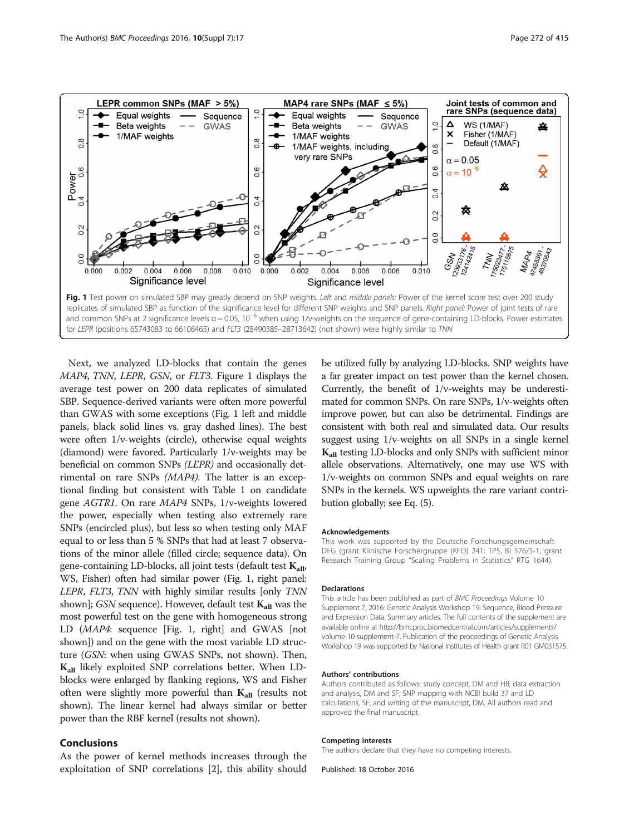

Next, we analyzed LD-blocks that contain the genes MAP4, TNN, LEPR, GSN, or FLT3. Figure 1 displays the average test power on 200 data replicates of simulated SBP. Sequence-derived variants were often more powerful than GWAS with some exceptions (Fig. 1 left and middle panels, black solid lines vs. gray dashed lines). The best were often 1/*v*-weights (circle), otherwise equal weights (diamond) were favored. Particularly 1/ν-weights may be beneficial on common SNPs (LEPR) and occasionally detrimental on rare SNPs (MAP4). The latter is an exceptional finding but consistent with Table [1](#page-2-0) on candidate gene AGTR1. On rare MAP4 SNPs, 1/ν-weights lowered the power, especially when testing also extremely rare SNPs (encircled plus), but less so when testing only MAF equal to or less than 5 % SNPs that had at least 7 observations of the minor allele (filled circle; sequence data). On gene-containing LD-blocks, all joint tests (default test  $K_{all}$ , WS, Fisher) often had similar power (Fig. 1, right panel: LEPR, FLT3, TNN with highly similar results [only TNN shown]; GSN sequence). However, default test  $K_{all}$  was the most powerful test on the gene with homogeneous strong LD (MAP4: sequence [Fig. 1, right] and GWAS [not shown]) and on the gene with the most variable LD structure (GSN: when using GWAS SNPs, not shown). Then, Kall likely exploited SNP correlations better. When LDblocks were enlarged by flanking regions, WS and Fisher often were slightly more powerful than  $K_{all}$  (results not shown). The linear kernel had always similar or better power than the RBF kernel (results not shown).

### Conclusions

As the power of kernel methods increases through the exploitation of SNP correlations [\[2](#page-4-0)], this ability should be utilized fully by analyzing LD-blocks. SNP weights have a far greater impact on test power than the kernel chosen. Currently, the benefit of 1/ν-weights may be underestimated for common SNPs. On rare SNPs, 1/ν-weights often improve power, but can also be detrimental. Findings are consistent with both real and simulated data. Our results suggest using 1/ν-weights on all SNPs in a single kernel K<sub>all</sub> testing LD-blocks and only SNPs with sufficient minor allele observations. Alternatively, one may use WS with 1/ν-weights on common SNPs and equal weights on rare SNPs in the kernels. WS upweights the rare variant contribution globally; see Eq. ([5\)](#page-2-0).

#### Acknowledgements

This work was supported by the Deutsche Forschungsgemeinschaft DFG (grant Klinische Forschergruppe [KFO] 241: TP5, BI 576/5-1; grant Research Training Group "Scaling Problems in Statistics" RTG 1644).

#### Declarations

This article has been published as part of BMC Proceedings Volume 10 Supplement 7, 2016: Genetic Analysis Workshop 19: Sequence, Blood Pressure and Expression Data. Summary articles. The full contents of the supplement are available online at [http://bmcproc.biomedcentral.com/articles/supplements/](http://bmcproc.biomedcentral.com/articles/supplements/volume-10-supplement-7) [volume-10-supplement-7.](http://bmcproc.biomedcentral.com/articles/supplements/volume-10-supplement-7) Publication of the proceedings of Genetic Analysis Workshop 19 was supported by National Institutes of Health grant R01 GM031575.

#### Authors' contributions

Authors contributed as follows: study concept, DM and HB; data extraction and analysis, DM and SF; SNP mapping with NCBI build 37 and LD calculations, SF; and writing of the manuscript, DM. All authors read and approved the final manuscript.

#### Competing interests

The authors declare that they have no competing interests.

Published: 18 October 2016